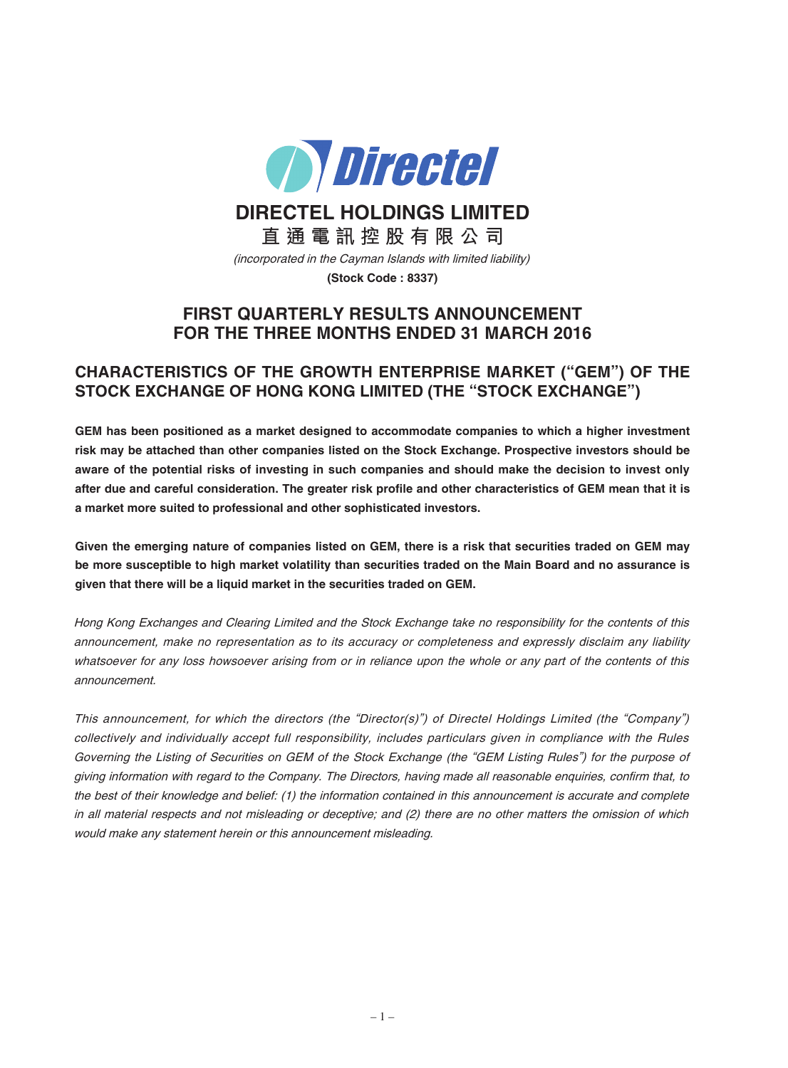

**DIRECTEL HOLDINGS LIMITED**

**直 通 電 訊 控 股 有 限 公 司**

(incorporated in the Cayman Islands with limited liability)

**(Stock Code : 8337)**

# **FIRST QUARTERLY RESULTS ANNOUNCEMENT FOR THE THREE MONTHS ENDED 31 MARCH 2016**

# **CHARACTERISTICS OF THE GROWTH ENTERPRISE MARKET ("GEM") OF THE STOCK EXCHANGE OF HONG KONG LIMITED (THE "STOCK EXCHANGE")**

**GEM has been positioned as a market designed to accommodate companies to which a higher investment risk may be attached than other companies listed on the Stock Exchange. Prospective investors should be** aware of the potential risks of investing in such companies and should make the decision to invest only after due and careful consideration. The greater risk profile and other characteristics of GEM mean that it is **a market more suited to professional and other sophisticated investors.**

Given the emerging nature of companies listed on GEM, there is a risk that securities traded on GEM may be more susceptible to high market volatility than securities traded on the Main Board and no assurance is **given that there will be a liquid market in the securities traded on GEM.**

Hong Kong Exchanges and Clearing Limited and the Stock Exchange take no responsibility for the contents of this announcement, make no representation as to its accuracy or completeness and expressly disclaim any liability whatsoever for any loss howsoever arising from or in reliance upon the whole or any part of the contents of this announcement.

This announcement, for which the directors (the "Director(s)") of Directel Holdings Limited (the "Company") collectively and individually accept full responsibility, includes particulars given in compliance with the Rules Governing the Listing of Securities on GEM of the Stock Exchange (the "GEM Listing Rules") for the purpose of giving information with regard to the Company. The Directors, having made all reasonable enquiries, confirm that, to the best of their knowledge and belief: (1) the information contained in this announcement is accurate and complete in all material respects and not misleading or deceptive; and (2) there are no other matters the omission of which would make any statement herein or this announcement misleading.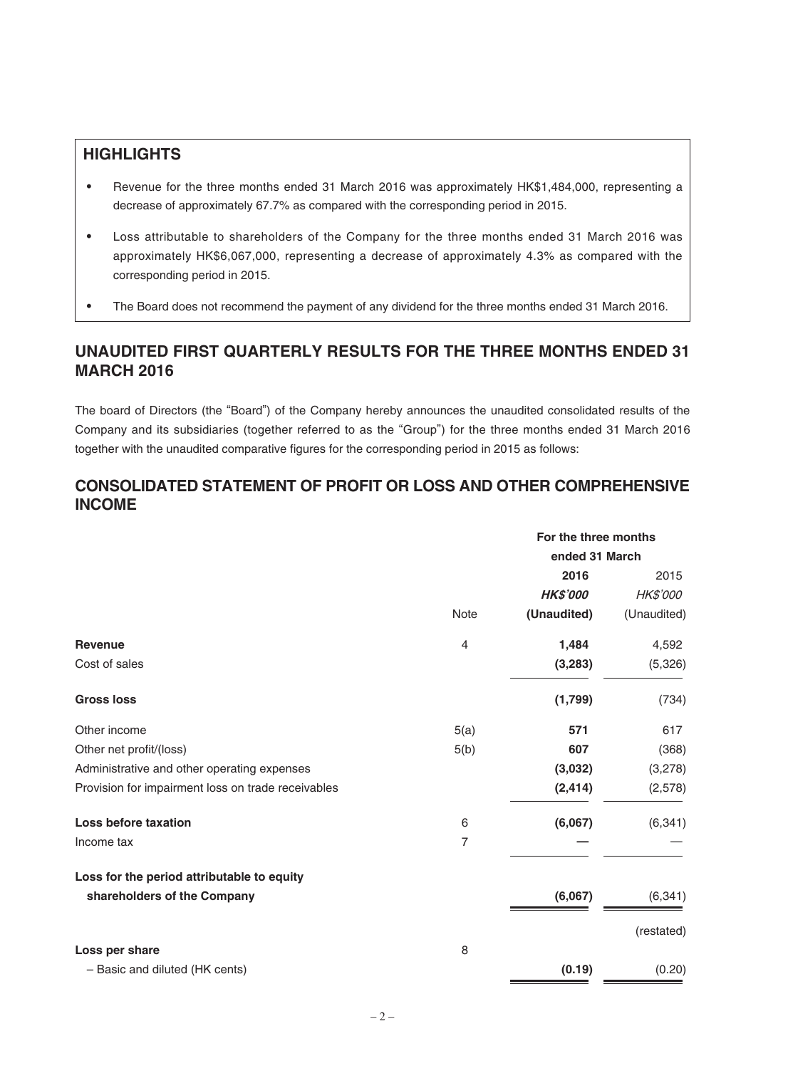# **HIGHLIGHTS**

- Revenue for the three months ended 31 March 2016 was approximately HK\$1,484,000, representing a decrease of approximately 67.7% as compared with the corresponding period in 2015.
- ‧ Loss attributable to shareholders of the Company for the three months ended 31 March 2016 was approximately HK\$6,067,000, representing a decrease of approximately 4.3% as compared with the corresponding period in 2015.
- The Board does not recommend the payment of any dividend for the three months ended 31 March 2016.

# **UNAUDITED FIRST QUARTERLY RESULTS FOR THE THREE MONTHS ENDED 31 MARCH 2016**

The board of Directors (the "Board") of the Company hereby announces the unaudited consolidated results of the Company and its subsidiaries (together referred to as the "Group") for the three months ended 31 March 2016 together with the unaudited comparative figures for the corresponding period in 2015 as follows:

# **CONSOLIDATED STATEMENT OF PROFIT OR LOSS AND OTHER COMPREHENSIVE INCOME**

|                                                    | For the three months |                 |             |
|----------------------------------------------------|----------------------|-----------------|-------------|
|                                                    | ended 31 March       |                 |             |
|                                                    |                      | 2016            | 2015        |
|                                                    |                      | <b>HK\$'000</b> | HK\$'000    |
|                                                    | <b>Note</b>          | (Unaudited)     | (Unaudited) |
| <b>Revenue</b>                                     | $\overline{4}$       | 1,484           | 4,592       |
| Cost of sales                                      |                      | (3, 283)        | (5,326)     |
| <b>Gross loss</b>                                  |                      | (1,799)         | (734)       |
| Other income                                       | 5(a)                 | 571             | 617         |
| Other net profit/(loss)                            | 5(b)                 | 607             | (368)       |
| Administrative and other operating expenses        |                      | (3,032)         | (3,278)     |
| Provision for impairment loss on trade receivables |                      | (2, 414)        | (2,578)     |
| <b>Loss before taxation</b>                        | 6                    | (6,067)         | (6, 341)    |
| Income tax                                         | $\overline{7}$       |                 |             |
| Loss for the period attributable to equity         |                      |                 |             |
| shareholders of the Company                        |                      | (6,067)         | (6, 341)    |
|                                                    |                      |                 | (restated)  |
| Loss per share                                     | 8                    |                 |             |
| - Basic and diluted (HK cents)                     |                      | (0.19)          | (0.20)      |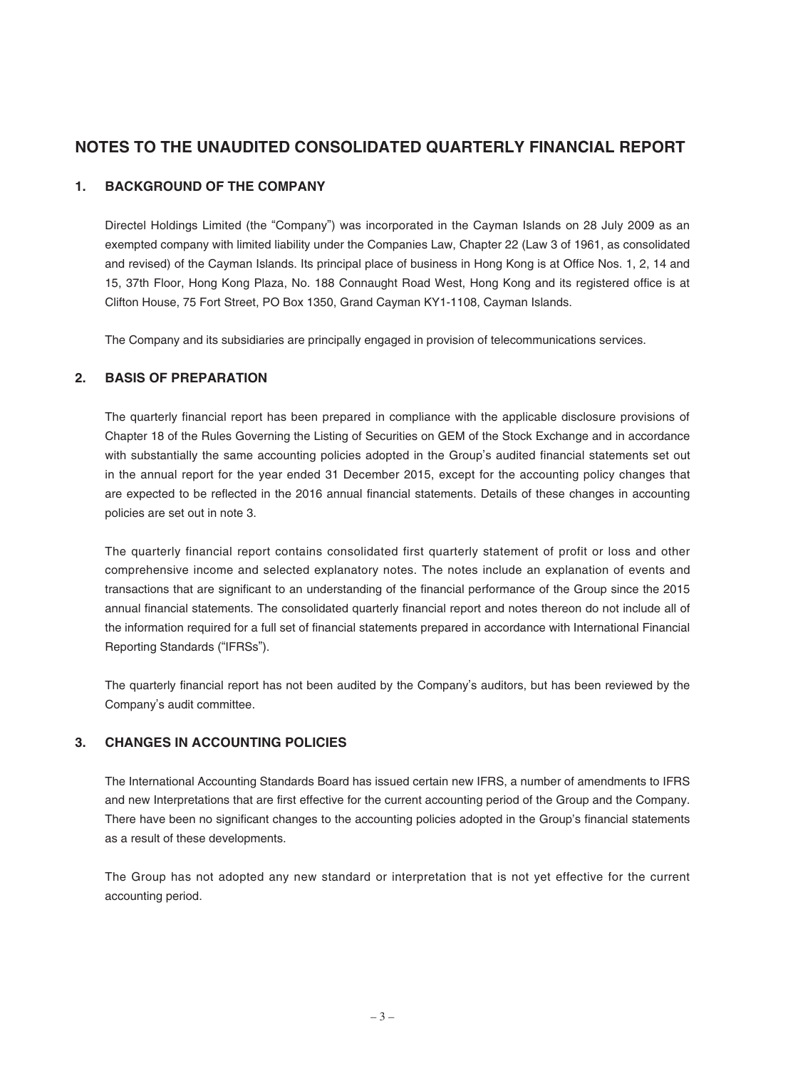# **NOTES TO THE UNAUDITED CONSOLIDATED QUARTERLY FINANCIAL REPORT**

## **1. BACKGROUND OF THE COMPANY**

Directel Holdings Limited (the "Company") was incorporated in the Cayman Islands on 28 July 2009 as an exempted company with limited liability under the Companies Law, Chapter 22 (Law 3 of 1961, as consolidated and revised) of the Cayman Islands. Its principal place of business in Hong Kong is at Office Nos. 1, 2, 14 and 15, 37th Floor, Hong Kong Plaza, No. 188 Connaught Road West, Hong Kong and its registered office is at Clifton House, 75 Fort Street, PO Box 1350, Grand Cayman KY1-1108, Cayman Islands.

The Company and its subsidiaries are principally engaged in provision of telecommunications services.

## **2. BASIS OF PREPARATION**

The quarterly financial report has been prepared in compliance with the applicable disclosure provisions of Chapter 18 of the Rules Governing the Listing of Securities on GEM of the Stock Exchange and in accordance with substantially the same accounting policies adopted in the Group's audited financial statements set out in the annual report for the year ended 31 December 2015, except for the accounting policy changes that are expected to be reflected in the 2016 annual financial statements. Details of these changes in accounting policies are set out in note 3.

The quarterly financial report contains consolidated first quarterly statement of profit or loss and other comprehensive income and selected explanatory notes. The notes include an explanation of events and transactions that are significant to an understanding of the financial performance of the Group since the 2015 annual financial statements. The consolidated quarterly financial report and notes thereon do not include all of the information required for a full set of financial statements prepared in accordance with International Financial Reporting Standards ("IFRSs").

The quarterly financial report has not been audited by the Company's auditors, but has been reviewed by the Company's audit committee.

## **3. CHANGES IN ACCOUNTING POLICIES**

The International Accounting Standards Board has issued certain new IFRS, a number of amendments to IFRS and new Interpretations that are first effective for the current accounting period of the Group and the Company. There have been no significant changes to the accounting policies adopted in the Group's financial statements as a result of these developments.

The Group has not adopted any new standard or interpretation that is not yet effective for the current accounting period.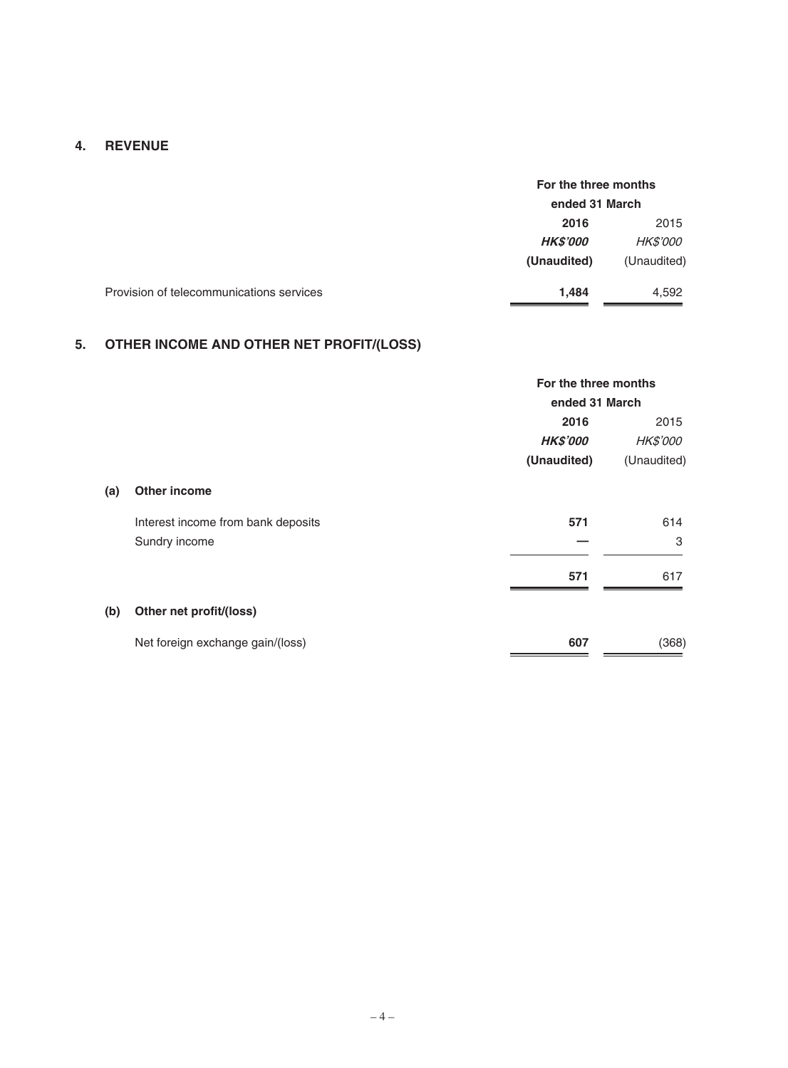## **4. REVENUE**

|                                          | For the three months<br>ended 31 March |                 |
|------------------------------------------|----------------------------------------|-----------------|
|                                          |                                        |                 |
|                                          | 2016                                   | 2015            |
|                                          | <b>HKS'000</b>                         | <i>HK\$'000</i> |
|                                          | (Unaudited)                            | (Unaudited)     |
| Provision of telecommunications services | 1.484                                  | 4,592           |

# **5. OTHER INCOME AND OTHER NET PROFIT/(LOSS)**

|     |                                    | For the three months |                 |
|-----|------------------------------------|----------------------|-----------------|
|     |                                    | ended 31 March       |                 |
|     |                                    | 2016                 | 2015            |
|     |                                    | <b>HK\$'000</b>      | <i>HK\$'000</i> |
|     |                                    | (Unaudited)          | (Unaudited)     |
| (a) | Other income                       |                      |                 |
|     | Interest income from bank deposits | 571                  | 614             |
|     | Sundry income                      |                      | 3               |
|     |                                    | 571                  | 617             |
| (b) | Other net profit/(loss)            |                      |                 |
|     | Net foreign exchange gain/(loss)   | 607                  | (368)           |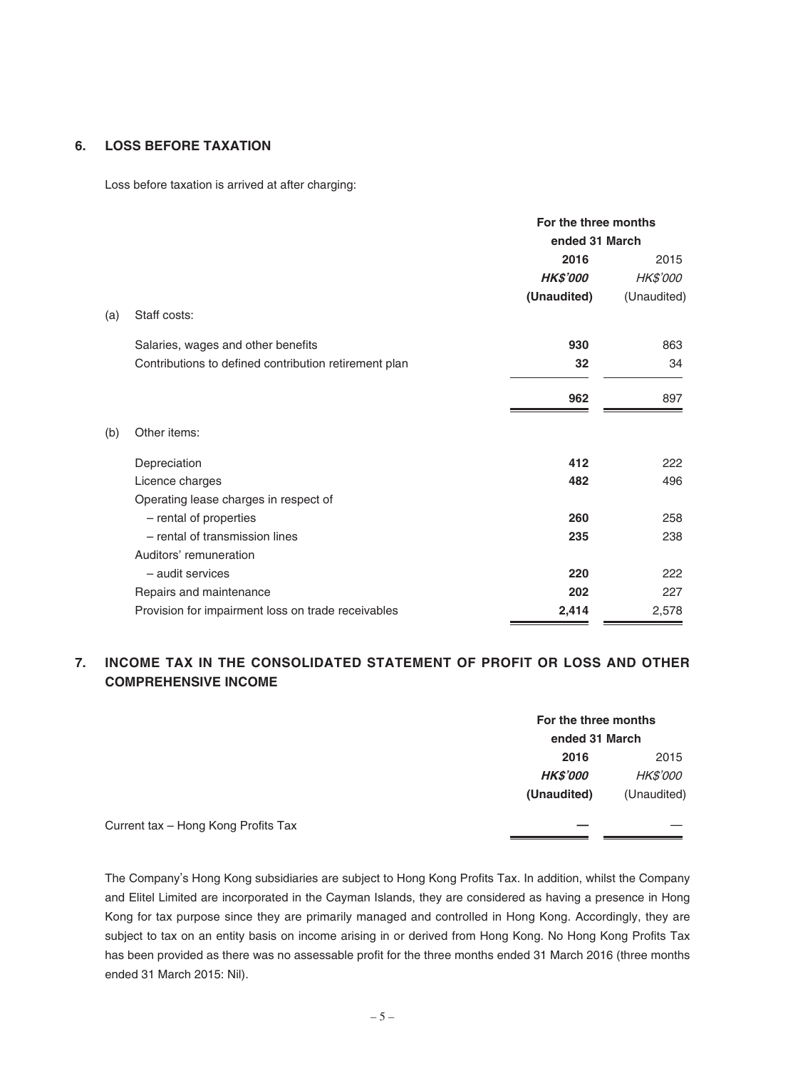## **6. LOSS BEFORE TAXATION**

Loss before taxation is arrived at after charging:

|     |                                                       | For the three months<br>ended 31 March |                 |
|-----|-------------------------------------------------------|----------------------------------------|-----------------|
|     |                                                       | 2016                                   | 2015            |
|     |                                                       | <b>HK\$'000</b>                        | <b>HK\$'000</b> |
|     |                                                       | (Unaudited)                            | (Unaudited)     |
| (a) | Staff costs:                                          |                                        |                 |
|     | Salaries, wages and other benefits                    | 930                                    | 863             |
|     | Contributions to defined contribution retirement plan | 32                                     | 34              |
|     |                                                       | 962                                    | 897             |
| (b) | Other items:                                          |                                        |                 |
|     | Depreciation                                          | 412                                    | 222             |
|     | Licence charges                                       | 482                                    | 496             |
|     | Operating lease charges in respect of                 |                                        |                 |
|     | - rental of properties                                | 260                                    | 258             |
|     | - rental of transmission lines                        | 235                                    | 238             |
|     | Auditors' remuneration                                |                                        |                 |
|     | - audit services                                      | 220                                    | 222             |
|     | Repairs and maintenance                               | 202                                    | 227             |
|     | Provision for impairment loss on trade receivables    | 2,414                                  | 2,578           |

## **7. INCOME TAX IN THE CONSOLIDATED STATEMENT OF PROFIT OR LOSS AND OTHER COMPREHENSIVE INCOME**

|                                     | For the three months |                 |
|-------------------------------------|----------------------|-----------------|
|                                     | ended 31 March       |                 |
|                                     | 2016                 | 2015            |
|                                     | <b>HK\$'000</b>      | <i>HK\$'000</i> |
|                                     | (Unaudited)          | (Unaudited)     |
| Current tax - Hong Kong Profits Tax |                      |                 |

The Company's Hong Kong subsidiaries are subject to Hong Kong Profits Tax. In addition, whilst the Company and Elitel Limited are incorporated in the Cayman Islands, they are considered as having a presence in Hong Kong for tax purpose since they are primarily managed and controlled in Hong Kong. Accordingly, they are subject to tax on an entity basis on income arising in or derived from Hong Kong. No Hong Kong Profits Tax has been provided as there was no assessable profit for the three months ended 31 March 2016 (three months ended 31 March 2015: Nil).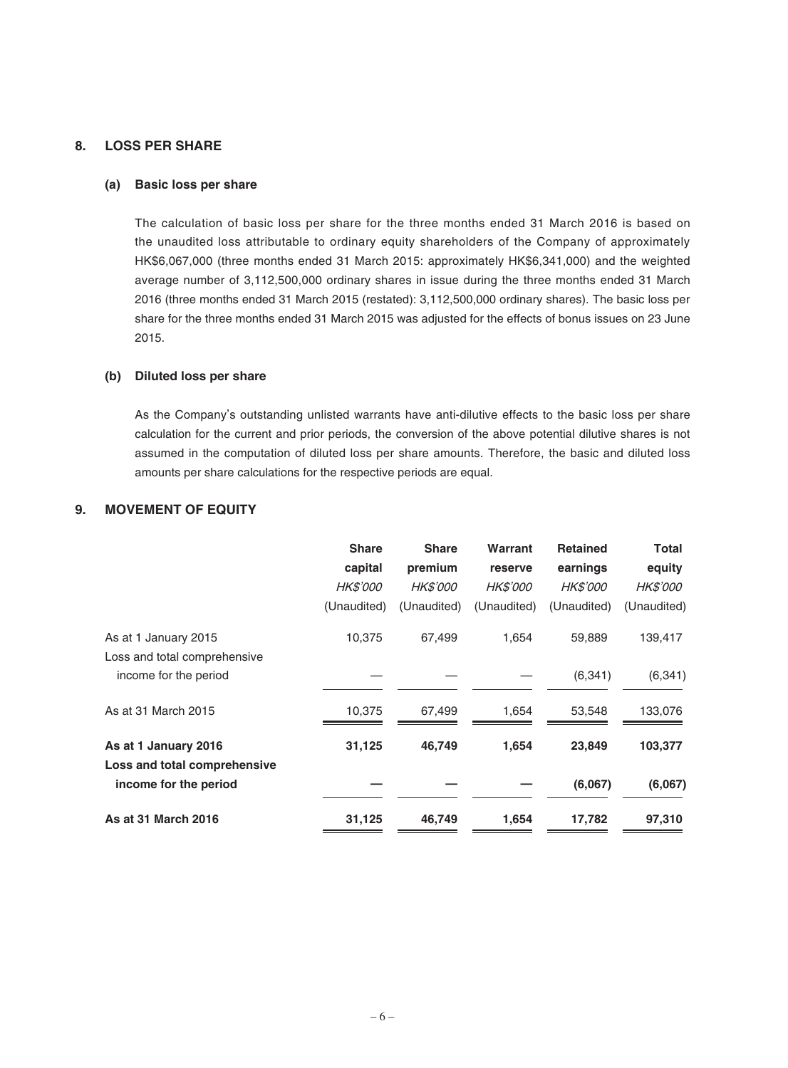## **8. LOSS PER SHARE**

#### **(a) Basic loss per share**

The calculation of basic loss per share for the three months ended 31 March 2016 is based on the unaudited loss attributable to ordinary equity shareholders of the Company of approximately HK\$6,067,000 (three months ended 31 March 2015: approximately HK\$6,341,000) and the weighted average number of 3,112,500,000 ordinary shares in issue during the three months ended 31 March 2016 (three months ended 31 March 2015 (restated): 3,112,500,000 ordinary shares). The basic loss per share for the three months ended 31 March 2015 was adjusted for the effects of bonus issues on 23 June 2015.

### **(b) Diluted loss per share**

As the Company's outstanding unlisted warrants have anti-dilutive effects to the basic loss per share calculation for the current and prior periods, the conversion of the above potential dilutive shares is not assumed in the computation of diluted loss per share amounts. Therefore, the basic and diluted loss amounts per share calculations for the respective periods are equal.

## **9. MOVEMENT OF EQUITY**

|                              | <b>Share</b>    | <b>Share</b>    | Warrant         | <b>Retained</b> | <b>Total</b>    |
|------------------------------|-----------------|-----------------|-----------------|-----------------|-----------------|
|                              | capital         | premium         | reserve         | earnings        | equity          |
|                              | <b>HK\$'000</b> | <i>HK\$'000</i> | <b>HK\$'000</b> | <i>HK\$'000</i> | <i>HK\$'000</i> |
|                              | (Unaudited)     | (Unaudited)     | (Unaudited)     | (Unaudited)     | (Unaudited)     |
| As at 1 January 2015         | 10,375          | 67,499          | 1,654           | 59,889          | 139,417         |
| Loss and total comprehensive |                 |                 |                 |                 |                 |
| income for the period        |                 |                 |                 | (6, 341)        | (6, 341)        |
| As at 31 March 2015          | 10,375          | 67,499          | 1,654           | 53,548          | 133,076         |
| As at 1 January 2016         | 31,125          | 46,749          | 1,654           | 23,849          | 103,377         |
| Loss and total comprehensive |                 |                 |                 |                 |                 |
| income for the period        |                 |                 |                 | (6,067)         | (6,067)         |
| As at 31 March 2016          | 31,125          | 46,749          | 1,654           | 17,782          | 97,310          |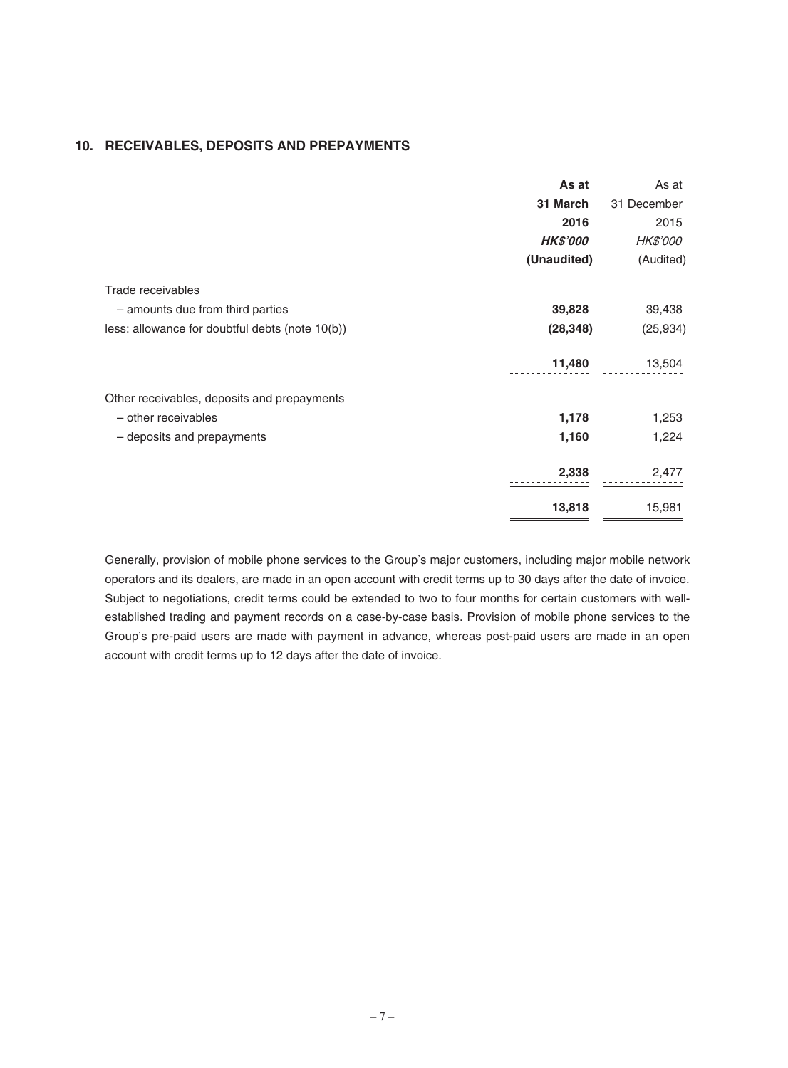### **10. RECEIVABLES, DEPOSITS AND PREPAYMENTS**

|                                                 | As at           | As at           |
|-------------------------------------------------|-----------------|-----------------|
|                                                 | 31 March        | 31 December     |
|                                                 | 2016            | 2015            |
|                                                 | <b>HK\$'000</b> | <b>HK\$'000</b> |
|                                                 | (Unaudited)     | (Audited)       |
| Trade receivables                               |                 |                 |
| - amounts due from third parties                | 39,828          | 39,438          |
| less: allowance for doubtful debts (note 10(b)) | (28, 348)       | (25, 934)       |
|                                                 | 11,480          | 13,504          |
| Other receivables, deposits and prepayments     |                 |                 |
| - other receivables                             | 1,178           | 1,253           |
| - deposits and prepayments                      | 1,160           | 1,224           |
|                                                 | 2,338           | 2,477           |
|                                                 | 13,818          | 15,981          |

Generally, provision of mobile phone services to the Group's major customers, including major mobile network operators and its dealers, are made in an open account with credit terms up to 30 days after the date of invoice. Subject to negotiations, credit terms could be extended to two to four months for certain customers with wellestablished trading and payment records on a case-by-case basis. Provision of mobile phone services to the Group's pre-paid users are made with payment in advance, whereas post-paid users are made in an open account with credit terms up to 12 days after the date of invoice.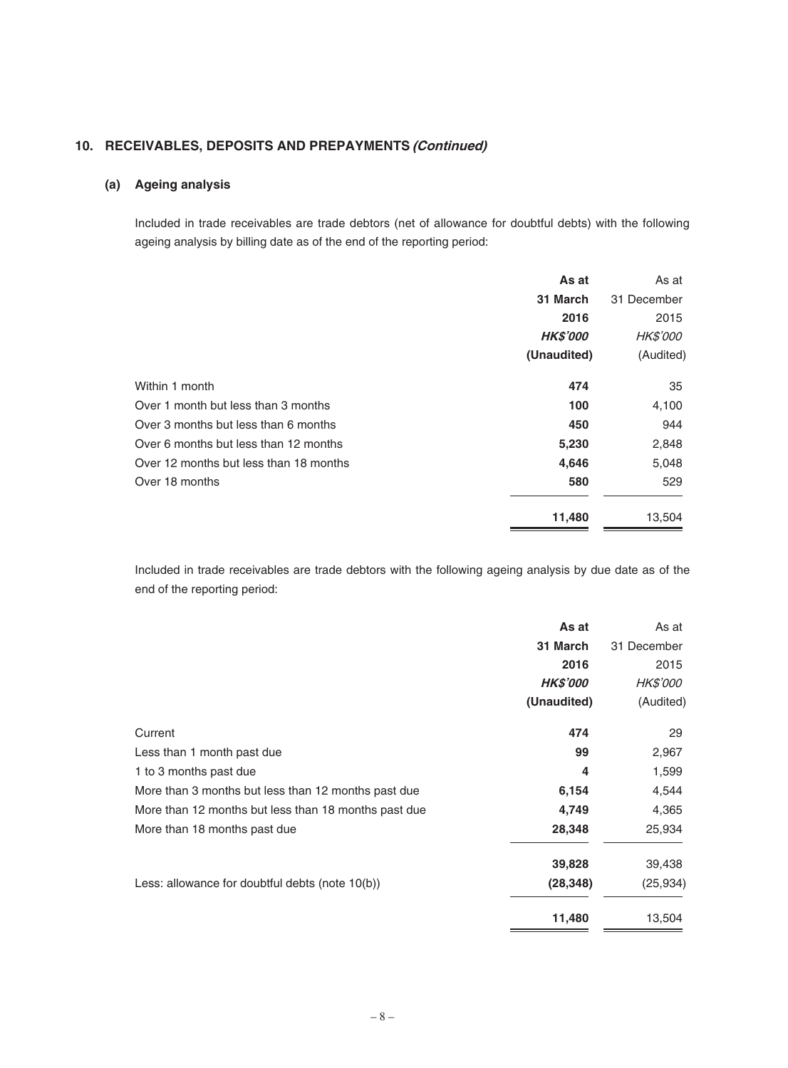## **10. RECEIVABLES, DEPOSITS AND PREPAYMENTS (Continued)**

## **(a) Ageing analysis**

Included in trade receivables are trade debtors (net of allowance for doubtful debts) with the following ageing analysis by billing date as of the end of the reporting period:

|                                        | As at           | As at           |
|----------------------------------------|-----------------|-----------------|
|                                        | 31 March        | 31 December     |
|                                        | 2016            | 2015            |
|                                        | <b>HK\$'000</b> | <i>HK\$'000</i> |
|                                        | (Unaudited)     | (Audited)       |
| Within 1 month                         | 474             | 35              |
| Over 1 month but less than 3 months    | 100             | 4,100           |
| Over 3 months but less than 6 months   | 450             | 944             |
| Over 6 months but less than 12 months  | 5,230           | 2,848           |
| Over 12 months but less than 18 months | 4,646           | 5,048           |
| Over 18 months                         | 580             | 529             |
|                                        | 11,480          | 13,504          |

Included in trade receivables are trade debtors with the following ageing analysis by due date as of the end of the reporting period:

|                                                      | As at           | As at           |
|------------------------------------------------------|-----------------|-----------------|
|                                                      | 31 March        | 31 December     |
|                                                      | 2016            | 2015            |
|                                                      | <b>HK\$'000</b> | <i>HK\$'000</i> |
|                                                      | (Unaudited)     | (Audited)       |
| Current                                              | 474             | 29              |
| Less than 1 month past due                           | 99              | 2,967           |
| 1 to 3 months past due                               | 4               | 1,599           |
| More than 3 months but less than 12 months past due  | 6,154           | 4,544           |
| More than 12 months but less than 18 months past due | 4,749           | 4,365           |
| More than 18 months past due                         | 28,348          | 25,934          |
|                                                      | 39,828          | 39,438          |
| Less: allowance for doubtful debts (note $10(b)$ )   | (28, 348)       | (25, 934)       |
|                                                      | 11,480          | 13,504          |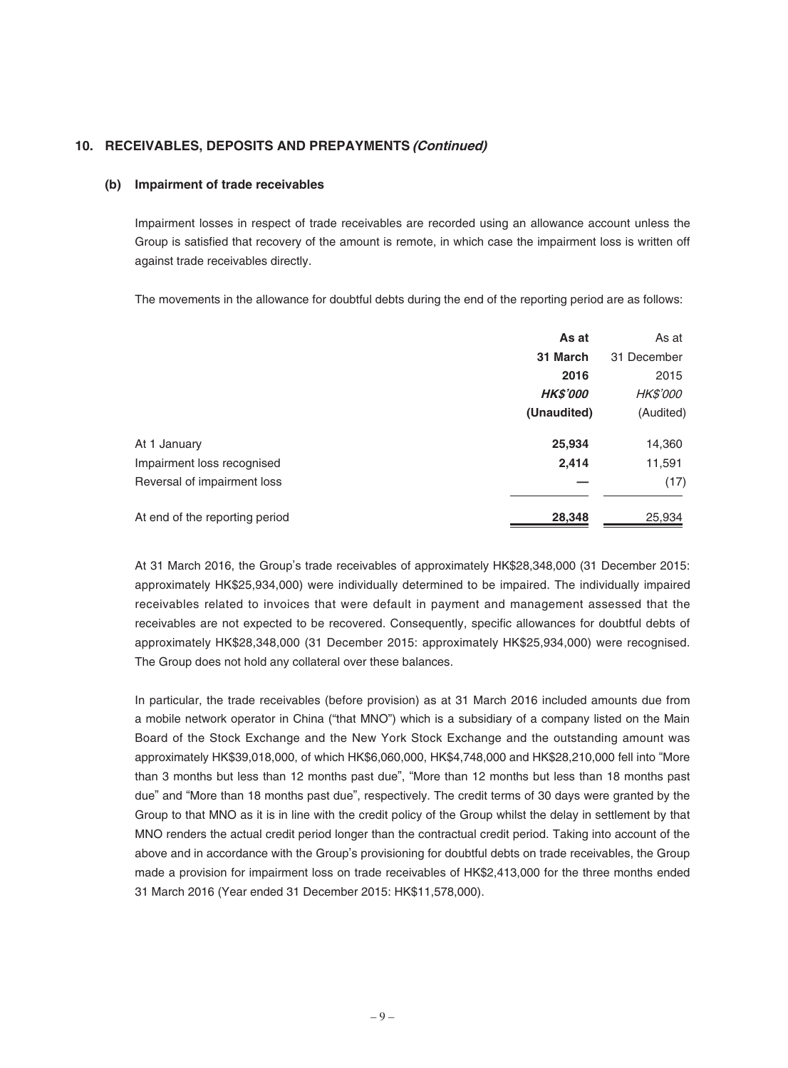## **10. RECEIVABLES, DEPOSITS AND PREPAYMENTS (Continued)**

#### **(b) Impairment of trade receivables**

Impairment losses in respect of trade receivables are recorded using an allowance account unless the Group is satisfied that recovery of the amount is remote, in which case the impairment loss is written off against trade receivables directly.

The movements in the allowance for doubtful debts during the end of the reporting period are as follows:

|                                | As at           | As at           |
|--------------------------------|-----------------|-----------------|
|                                | 31 March        | 31 December     |
|                                | 2016            | 2015            |
|                                | <b>HK\$'000</b> | <i>HK\$'000</i> |
|                                | (Unaudited)     | (Audited)       |
| At 1 January                   | 25,934          | 14,360          |
| Impairment loss recognised     | 2,414           | 11,591          |
| Reversal of impairment loss    |                 | (17)            |
| At end of the reporting period | 28,348          | 25,934          |

At 31 March 2016, the Group's trade receivables of approximately HK\$28,348,000 (31 December 2015: approximately HK\$25,934,000) were individually determined to be impaired. The individually impaired receivables related to invoices that were default in payment and management assessed that the receivables are not expected to be recovered. Consequently, specific allowances for doubtful debts of approximately HK\$28,348,000 (31 December 2015: approximately HK\$25,934,000) were recognised. The Group does not hold any collateral over these balances.

In particular, the trade receivables (before provision) as at 31 March 2016 included amounts due from a mobile network operator in China ("that MNO") which is a subsidiary of a company listed on the Main Board of the Stock Exchange and the New York Stock Exchange and the outstanding amount was approximately HK\$39,018,000, of which HK\$6,060,000, HK\$4,748,000 and HK\$28,210,000 fell into "More than 3 months but less than 12 months past due", "More than 12 months but less than 18 months past due" and "More than 18 months past due", respectively. The credit terms of 30 days were granted by the Group to that MNO as it is in line with the credit policy of the Group whilst the delay in settlement by that MNO renders the actual credit period longer than the contractual credit period. Taking into account of the above and in accordance with the Group's provisioning for doubtful debts on trade receivables, the Group made a provision for impairment loss on trade receivables of HK\$2,413,000 for the three months ended 31 March 2016 (Year ended 31 December 2015: HK\$11,578,000).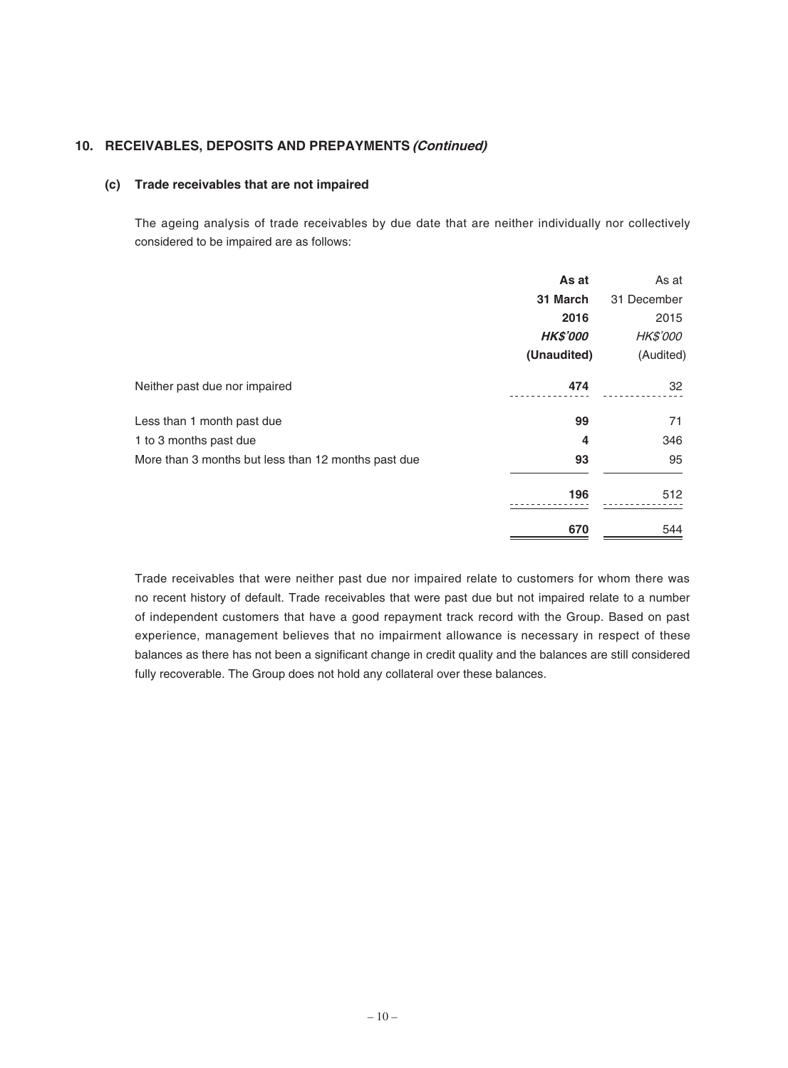## **10. RECEIVABLES, DEPOSITS AND PREPAYMENTS (Continued)**

#### **(c) Trade receivables that are not impaired**

The ageing analysis of trade receivables by due date that are neither individually nor collectively considered to be impaired are as follows:

|                                                     | As at           | As at           |
|-----------------------------------------------------|-----------------|-----------------|
|                                                     | 31 March        | 31 December     |
|                                                     | 2016            | 2015            |
|                                                     | <b>HK\$'000</b> | <b>HK\$'000</b> |
|                                                     | (Unaudited)     | (Audited)       |
| Neither past due nor impaired                       | 474             | 32              |
| Less than 1 month past due                          | 99              | 71              |
| 1 to 3 months past due                              | 4               | 346             |
| More than 3 months but less than 12 months past due | 93              | 95              |
|                                                     | 196             | 512             |
|                                                     | 670             | 544             |

Trade receivables that were neither past due nor impaired relate to customers for whom there was no recent history of default. Trade receivables that were past due but not impaired relate to a number of independent customers that have a good repayment track record with the Group. Based on past experience, management believes that no impairment allowance is necessary in respect of these balances as there has not been a significant change in credit quality and the balances are still considered fully recoverable. The Group does not hold any collateral over these balances.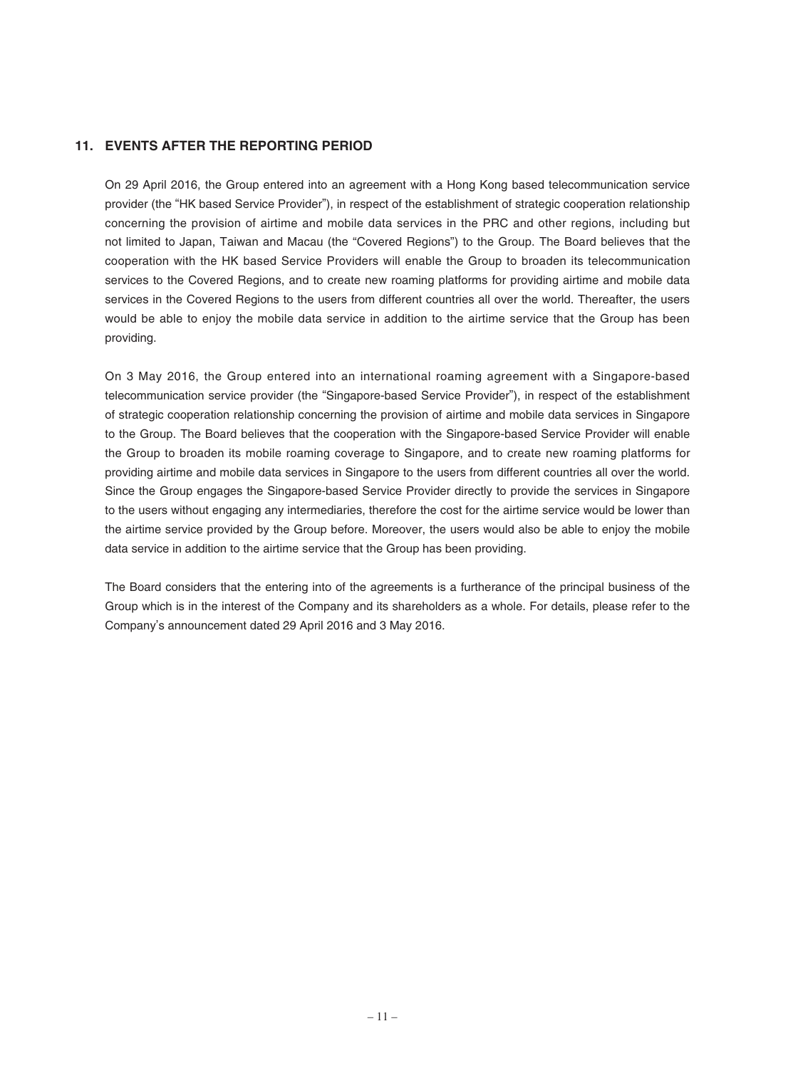## **11. EVENTS AFTER THE REPORTING PERIOD**

On 29 April 2016, the Group entered into an agreement with a Hong Kong based telecommunication service provider (the "HK based Service Provider"), in respect of the establishment of strategic cooperation relationship concerning the provision of airtime and mobile data services in the PRC and other regions, including but not limited to Japan, Taiwan and Macau (the "Covered Regions") to the Group. The Board believes that the cooperation with the HK based Service Providers will enable the Group to broaden its telecommunication services to the Covered Regions, and to create new roaming platforms for providing airtime and mobile data services in the Covered Regions to the users from different countries all over the world. Thereafter, the users would be able to enjoy the mobile data service in addition to the airtime service that the Group has been providing.

On 3 May 2016, the Group entered into an international roaming agreement with a Singapore-based telecommunication service provider (the "Singapore-based Service Provider"), in respect of the establishment of strategic cooperation relationship concerning the provision of airtime and mobile data services in Singapore to the Group. The Board believes that the cooperation with the Singapore-based Service Provider will enable the Group to broaden its mobile roaming coverage to Singapore, and to create new roaming platforms for providing airtime and mobile data services in Singapore to the users from different countries all over the world. Since the Group engages the Singapore-based Service Provider directly to provide the services in Singapore to the users without engaging any intermediaries, therefore the cost for the airtime service would be lower than the airtime service provided by the Group before. Moreover, the users would also be able to enjoy the mobile data service in addition to the airtime service that the Group has been providing.

The Board considers that the entering into of the agreements is a furtherance of the principal business of the Group which is in the interest of the Company and its shareholders as a whole. For details, please refer to the Company's announcement dated 29 April 2016 and 3 May 2016.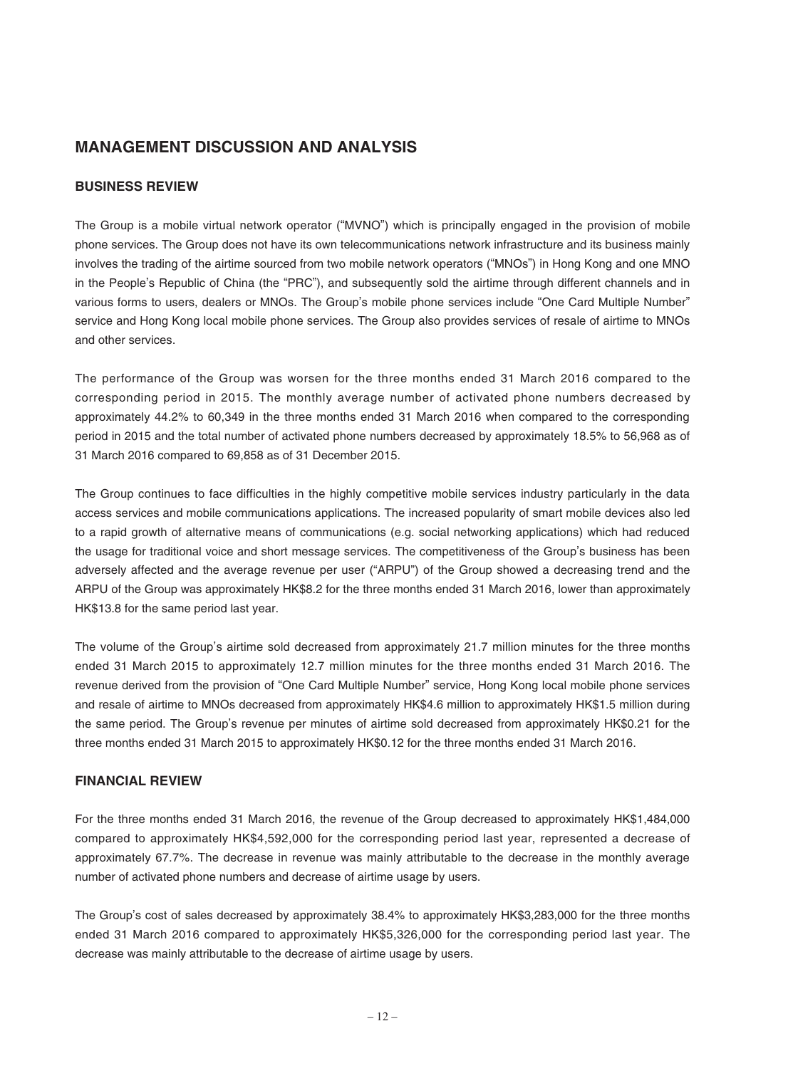## **MANAGEMENT DISCUSSION AND ANALYSIS**

## **BUSINESS REVIEW**

The Group is a mobile virtual network operator ("MVNO") which is principally engaged in the provision of mobile phone services. The Group does not have its own telecommunications network infrastructure and its business mainly involves the trading of the airtime sourced from two mobile network operators ("MNOs") in Hong Kong and one MNO in the People's Republic of China (the "PRC"), and subsequently sold the airtime through different channels and in various forms to users, dealers or MNOs. The Group's mobile phone services include "One Card Multiple Number" service and Hong Kong local mobile phone services. The Group also provides services of resale of airtime to MNOs and other services.

The performance of the Group was worsen for the three months ended 31 March 2016 compared to the corresponding period in 2015. The monthly average number of activated phone numbers decreased by approximately 44.2% to 60,349 in the three months ended 31 March 2016 when compared to the corresponding period in 2015 and the total number of activated phone numbers decreased by approximately 18.5% to 56,968 as of 31 March 2016 compared to 69,858 as of 31 December 2015.

The Group continues to face difficulties in the highly competitive mobile services industry particularly in the data access services and mobile communications applications. The increased popularity of smart mobile devices also led to a rapid growth of alternative means of communications (e.g. social networking applications) which had reduced the usage for traditional voice and short message services. The competitiveness of the Group's business has been adversely affected and the average revenue per user ("ARPU") of the Group showed a decreasing trend and the ARPU of the Group was approximately HK\$8.2 for the three months ended 31 March 2016, lower than approximately HK\$13.8 for the same period last year.

The volume of the Group's airtime sold decreased from approximately 21.7 million minutes for the three months ended 31 March 2015 to approximately 12.7 million minutes for the three months ended 31 March 2016. The revenue derived from the provision of "One Card Multiple Number" service, Hong Kong local mobile phone services and resale of airtime to MNOs decreased from approximately HK\$4.6 million to approximately HK\$1.5 million during the same period. The Group's revenue per minutes of airtime sold decreased from approximately HK\$0.21 for the three months ended 31 March 2015 to approximately HK\$0.12 for the three months ended 31 March 2016.

#### **FINANCIAL REVIEW**

For the three months ended 31 March 2016, the revenue of the Group decreased to approximately HK\$1,484,000 compared to approximately HK\$4,592,000 for the corresponding period last year, represented a decrease of approximately 67.7%. The decrease in revenue was mainly attributable to the decrease in the monthly average number of activated phone numbers and decrease of airtime usage by users.

The Group's cost of sales decreased by approximately 38.4% to approximately HK\$3,283,000 for the three months ended 31 March 2016 compared to approximately HK\$5,326,000 for the corresponding period last year. The decrease was mainly attributable to the decrease of airtime usage by users.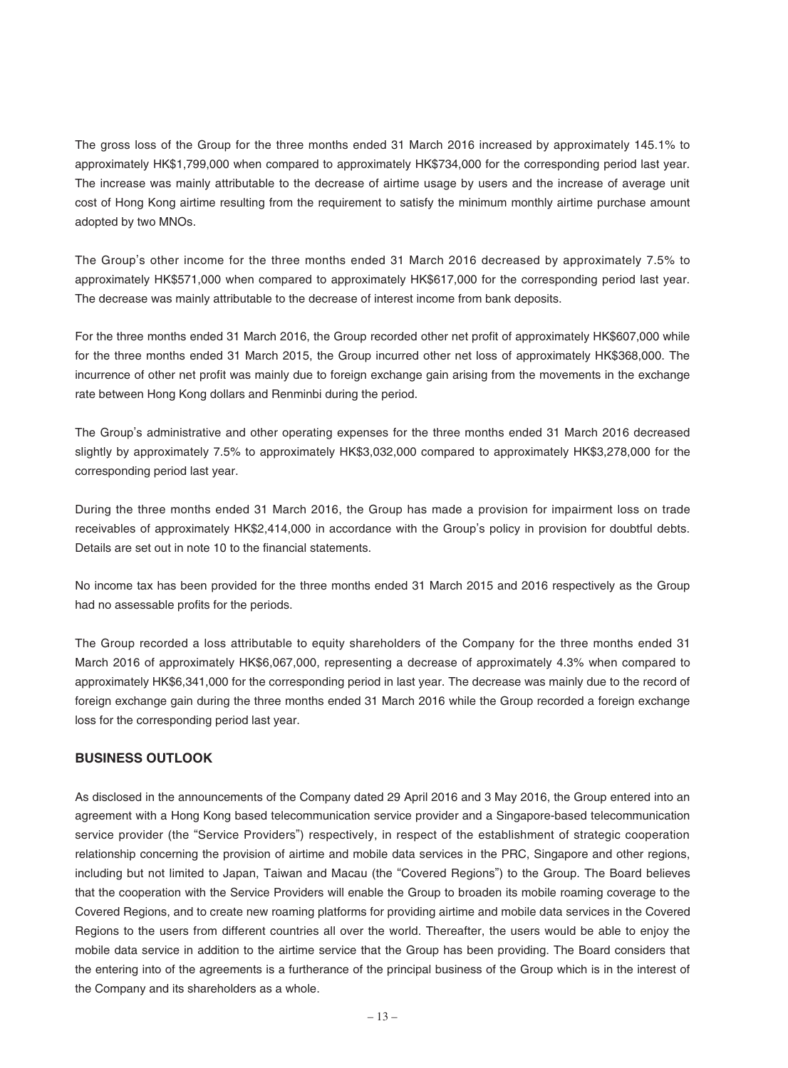The gross loss of the Group for the three months ended 31 March 2016 increased by approximately 145.1% to approximately HK\$1,799,000 when compared to approximately HK\$734,000 for the corresponding period last year. The increase was mainly attributable to the decrease of airtime usage by users and the increase of average unit cost of Hong Kong airtime resulting from the requirement to satisfy the minimum monthly airtime purchase amount adopted by two MNOs.

The Group's other income for the three months ended 31 March 2016 decreased by approximately 7.5% to approximately HK\$571,000 when compared to approximately HK\$617,000 for the corresponding period last year. The decrease was mainly attributable to the decrease of interest income from bank deposits.

For the three months ended 31 March 2016, the Group recorded other net profit of approximately HK\$607,000 while for the three months ended 31 March 2015, the Group incurred other net loss of approximately HK\$368,000. The incurrence of other net profit was mainly due to foreign exchange gain arising from the movements in the exchange rate between Hong Kong dollars and Renminbi during the period.

The Group's administrative and other operating expenses for the three months ended 31 March 2016 decreased slightly by approximately 7.5% to approximately HK\$3,032,000 compared to approximately HK\$3,278,000 for the corresponding period last year.

During the three months ended 31 March 2016, the Group has made a provision for impairment loss on trade receivables of approximately HK\$2,414,000 in accordance with the Group's policy in provision for doubtful debts. Details are set out in note 10 to the financial statements.

No income tax has been provided for the three months ended 31 March 2015 and 2016 respectively as the Group had no assessable profits for the periods.

The Group recorded a loss attributable to equity shareholders of the Company for the three months ended 31 March 2016 of approximately HK\$6,067,000, representing a decrease of approximately 4.3% when compared to approximately HK\$6,341,000 for the corresponding period in last year. The decrease was mainly due to the record of foreign exchange gain during the three months ended 31 March 2016 while the Group recorded a foreign exchange loss for the corresponding period last year.

## **BUSINESS OUTLOOK**

As disclosed in the announcements of the Company dated 29 April 2016 and 3 May 2016, the Group entered into an agreement with a Hong Kong based telecommunication service provider and a Singapore-based telecommunication service provider (the "Service Providers") respectively, in respect of the establishment of strategic cooperation relationship concerning the provision of airtime and mobile data services in the PRC, Singapore and other regions, including but not limited to Japan, Taiwan and Macau (the "Covered Regions") to the Group. The Board believes that the cooperation with the Service Providers will enable the Group to broaden its mobile roaming coverage to the Covered Regions, and to create new roaming platforms for providing airtime and mobile data services in the Covered Regions to the users from different countries all over the world. Thereafter, the users would be able to enjoy the mobile data service in addition to the airtime service that the Group has been providing. The Board considers that the entering into of the agreements is a furtherance of the principal business of the Group which is in the interest of the Company and its shareholders as a whole.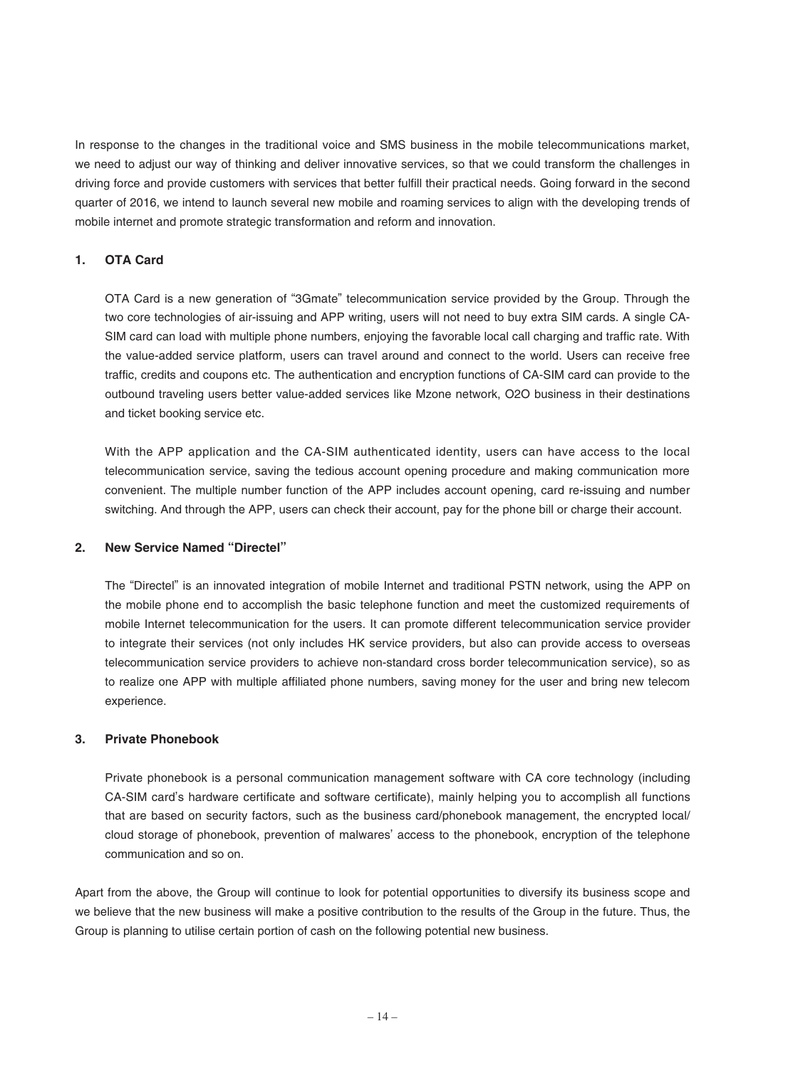In response to the changes in the traditional voice and SMS business in the mobile telecommunications market, we need to adjust our way of thinking and deliver innovative services, so that we could transform the challenges in driving force and provide customers with services that better fulfill their practical needs. Going forward in the second quarter of 2016, we intend to launch several new mobile and roaming services to align with the developing trends of mobile internet and promote strategic transformation and reform and innovation.

### **1. OTA Card**

OTA Card is a new generation of "3Gmate" telecommunication service provided by the Group. Through the two core technologies of air-issuing and APP writing, users will not need to buy extra SIM cards. A single CA-SIM card can load with multiple phone numbers, enjoying the favorable local call charging and traffic rate. With the value-added service platform, users can travel around and connect to the world. Users can receive free traffic, credits and coupons etc. The authentication and encryption functions of CA-SIM card can provide to the outbound traveling users better value-added services like Mzone network, O2O business in their destinations and ticket booking service etc.

With the APP application and the CA-SIM authenticated identity, users can have access to the local telecommunication service, saving the tedious account opening procedure and making communication more convenient. The multiple number function of the APP includes account opening, card re-issuing and number switching. And through the APP, users can check their account, pay for the phone bill or charge their account.

#### **2. New Service Named "Directel"**

The "Directel" is an innovated integration of mobile Internet and traditional PSTN network, using the APP on the mobile phone end to accomplish the basic telephone function and meet the customized requirements of mobile Internet telecommunication for the users. It can promote different telecommunication service provider to integrate their services (not only includes HK service providers, but also can provide access to overseas telecommunication service providers to achieve non-standard cross border telecommunication service), so as to realize one APP with multiple affiliated phone numbers, saving money for the user and bring new telecom experience.

#### **3. Private Phonebook**

Private phonebook is a personal communication management software with CA core technology (including CA-SIM card's hardware certificate and software certificate), mainly helping you to accomplish all functions that are based on security factors, such as the business card/phonebook management, the encrypted local/ cloud storage of phonebook, prevention of malwares' access to the phonebook, encryption of the telephone communication and so on.

Apart from the above, the Group will continue to look for potential opportunities to diversify its business scope and we believe that the new business will make a positive contribution to the results of the Group in the future. Thus, the Group is planning to utilise certain portion of cash on the following potential new business.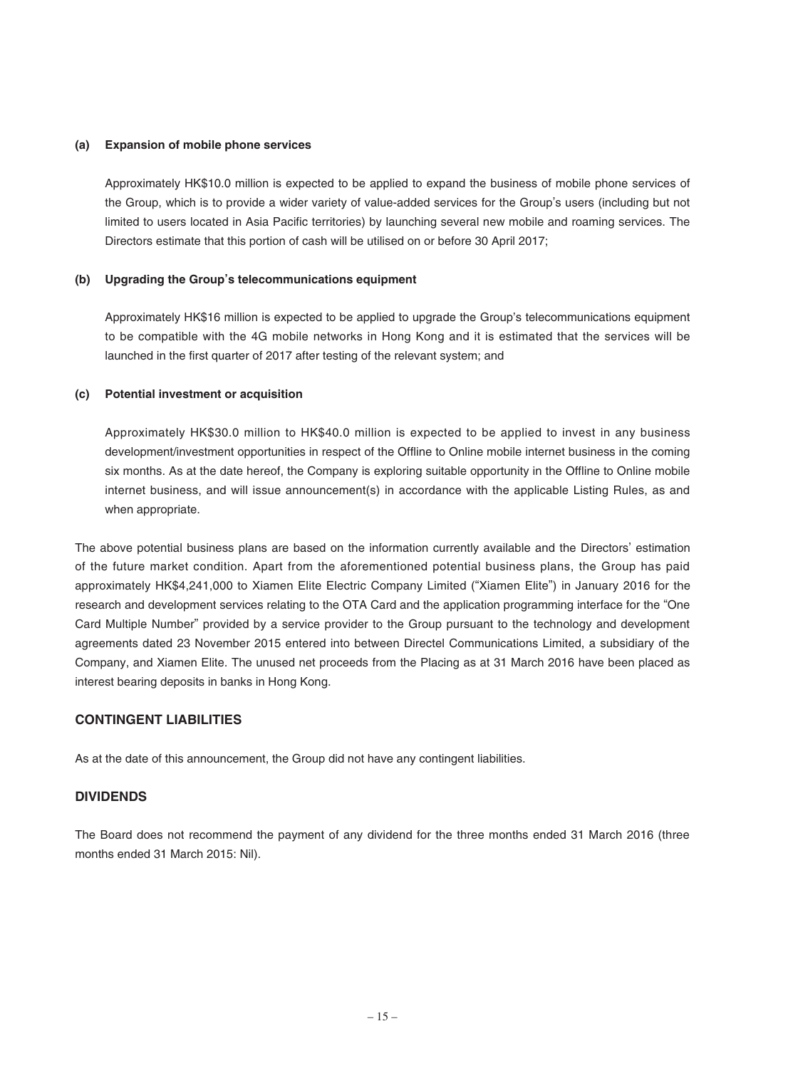#### **(a) Expansion of mobile phone services**

Approximately HK\$10.0 million is expected to be applied to expand the business of mobile phone services of the Group, which is to provide a wider variety of value-added services for the Group's users (including but not limited to users located in Asia Pacific territories) by launching several new mobile and roaming services. The Directors estimate that this portion of cash will be utilised on or before 30 April 2017;

### **(b) Upgrading the Group's telecommunications equipment**

Approximately HK\$16 million is expected to be applied to upgrade the Group's telecommunications equipment to be compatible with the 4G mobile networks in Hong Kong and it is estimated that the services will be launched in the first quarter of 2017 after testing of the relevant system; and

#### **(c) Potential investment or acquisition**

Approximately HK\$30.0 million to HK\$40.0 million is expected to be applied to invest in any business development/investment opportunities in respect of the Offline to Online mobile internet business in the coming six months. As at the date hereof, the Company is exploring suitable opportunity in the Offline to Online mobile internet business, and will issue announcement(s) in accordance with the applicable Listing Rules, as and when appropriate.

The above potential business plans are based on the information currently available and the Directors' estimation of the future market condition. Apart from the aforementioned potential business plans, the Group has paid approximately HK\$4,241,000 to Xiamen Elite Electric Company Limited ("Xiamen Elite") in January 2016 for the research and development services relating to the OTA Card and the application programming interface for the "One Card Multiple Number" provided by a service provider to the Group pursuant to the technology and development agreements dated 23 November 2015 entered into between Directel Communications Limited, a subsidiary of the Company, and Xiamen Elite. The unused net proceeds from the Placing as at 31 March 2016 have been placed as interest bearing deposits in banks in Hong Kong.

## **CONTINGENT LIABILITIES**

As at the date of this announcement, the Group did not have any contingent liabilities.

## **DIVIDENDS**

The Board does not recommend the payment of any dividend for the three months ended 31 March 2016 (three months ended 31 March 2015: Nil).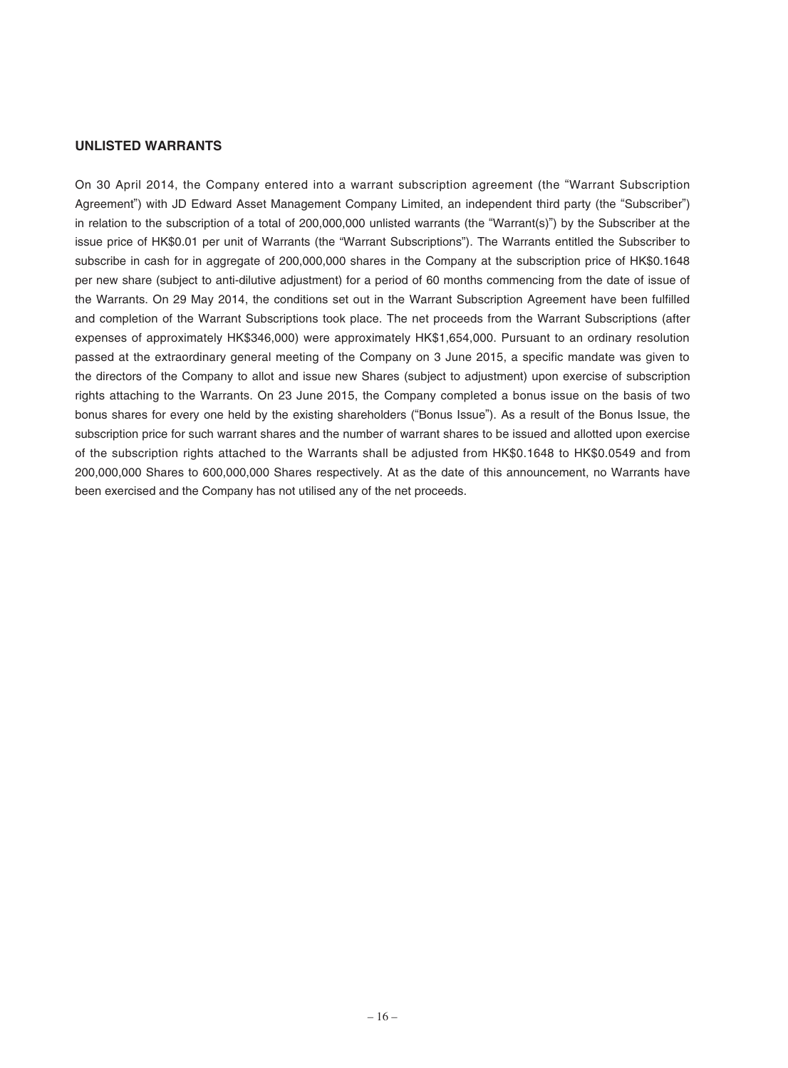#### **UNLISTED WARRANTS**

On 30 April 2014, the Company entered into a warrant subscription agreement (the "Warrant Subscription Agreement") with JD Edward Asset Management Company Limited, an independent third party (the "Subscriber") in relation to the subscription of a total of 200,000,000 unlisted warrants (the "Warrant(s)") by the Subscriber at the issue price of HK\$0.01 per unit of Warrants (the "Warrant Subscriptions"). The Warrants entitled the Subscriber to subscribe in cash for in aggregate of 200,000,000 shares in the Company at the subscription price of HK\$0.1648 per new share (subject to anti-dilutive adjustment) for a period of 60 months commencing from the date of issue of the Warrants. On 29 May 2014, the conditions set out in the Warrant Subscription Agreement have been fulfilled and completion of the Warrant Subscriptions took place. The net proceeds from the Warrant Subscriptions (after expenses of approximately HK\$346,000) were approximately HK\$1,654,000. Pursuant to an ordinary resolution passed at the extraordinary general meeting of the Company on 3 June 2015, a specific mandate was given to the directors of the Company to allot and issue new Shares (subject to adjustment) upon exercise of subscription rights attaching to the Warrants. On 23 June 2015, the Company completed a bonus issue on the basis of two bonus shares for every one held by the existing shareholders ("Bonus Issue"). As a result of the Bonus Issue, the subscription price for such warrant shares and the number of warrant shares to be issued and allotted upon exercise of the subscription rights attached to the Warrants shall be adjusted from HK\$0.1648 to HK\$0.0549 and from 200,000,000 Shares to 600,000,000 Shares respectively. At as the date of this announcement, no Warrants have been exercised and the Company has not utilised any of the net proceeds.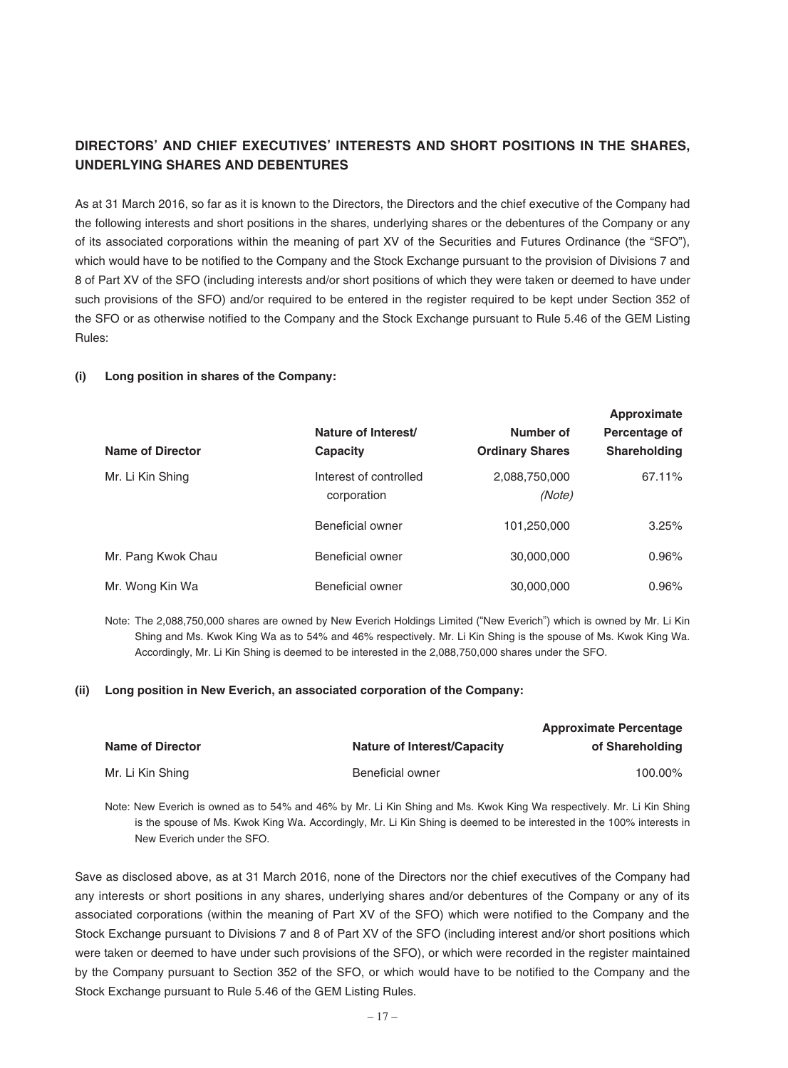## **DIRECTORS' AND CHIEF EXECUTIVES' INTERESTS AND SHORT POSITIONS IN THE SHARES, UNDERLYING SHARES AND DEBENTURES**

As at 31 March 2016, so far as it is known to the Directors, the Directors and the chief executive of the Company had the following interests and short positions in the shares, underlying shares or the debentures of the Company or any of its associated corporations within the meaning of part XV of the Securities and Futures Ordinance (the "SFO"), which would have to be notified to the Company and the Stock Exchange pursuant to the provision of Divisions 7 and 8 of Part XV of the SFO (including interests and/or short positions of which they were taken or deemed to have under such provisions of the SFO) and/or required to be entered in the register required to be kept under Section 352 of the SFO or as otherwise notified to the Company and the Stock Exchange pursuant to Rule 5.46 of the GEM Listing Rules:

#### **(i) Long position in shares of the Company:**

| <b>Name of Director</b> | Nature of Interest/<br>Capacity       | Number of<br><b>Ordinary Shares</b> | Approximate<br>Percentage of<br><b>Shareholding</b> |
|-------------------------|---------------------------------------|-------------------------------------|-----------------------------------------------------|
| Mr. Li Kin Shing        | Interest of controlled<br>corporation | 2,088,750,000<br>(Note)             | 67.11%                                              |
|                         | Beneficial owner                      | 101,250,000                         | 3.25%                                               |
| Mr. Pang Kwok Chau      | Beneficial owner                      | 30,000,000                          | $0.96\%$                                            |
| Mr. Wong Kin Wa         | Beneficial owner                      | 30,000,000                          | 0.96%                                               |

Note: The 2,088,750,000 shares are owned by New Everich Holdings Limited ("New Everich") which is owned by Mr. Li Kin Shing and Ms. Kwok King Wa as to 54% and 46% respectively. Mr. Li Kin Shing is the spouse of Ms. Kwok King Wa. Accordingly, Mr. Li Kin Shing is deemed to be interested in the 2,088,750,000 shares under the SFO.

#### **(ii) Long position in New Everich, an associated corporation of the Company:**

|                         |                                    | <b>Approximate Percentage</b> |
|-------------------------|------------------------------------|-------------------------------|
| <b>Name of Director</b> | <b>Nature of Interest/Capacity</b> | of Shareholding               |
| Mr. Li Kin Shing        | Beneficial owner                   | 100.00%                       |

Note: New Everich is owned as to 54% and 46% by Mr. Li Kin Shing and Ms. Kwok King Wa respectively. Mr. Li Kin Shing is the spouse of Ms. Kwok King Wa. Accordingly, Mr. Li Kin Shing is deemed to be interested in the 100% interests in New Everich under the SFO.

Save as disclosed above, as at 31 March 2016, none of the Directors nor the chief executives of the Company had any interests or short positions in any shares, underlying shares and/or debentures of the Company or any of its associated corporations (within the meaning of Part XV of the SFO) which were notified to the Company and the Stock Exchange pursuant to Divisions 7 and 8 of Part XV of the SFO (including interest and/or short positions which were taken or deemed to have under such provisions of the SFO), or which were recorded in the register maintained by the Company pursuant to Section 352 of the SFO, or which would have to be notified to the Company and the Stock Exchange pursuant to Rule 5.46 of the GEM Listing Rules.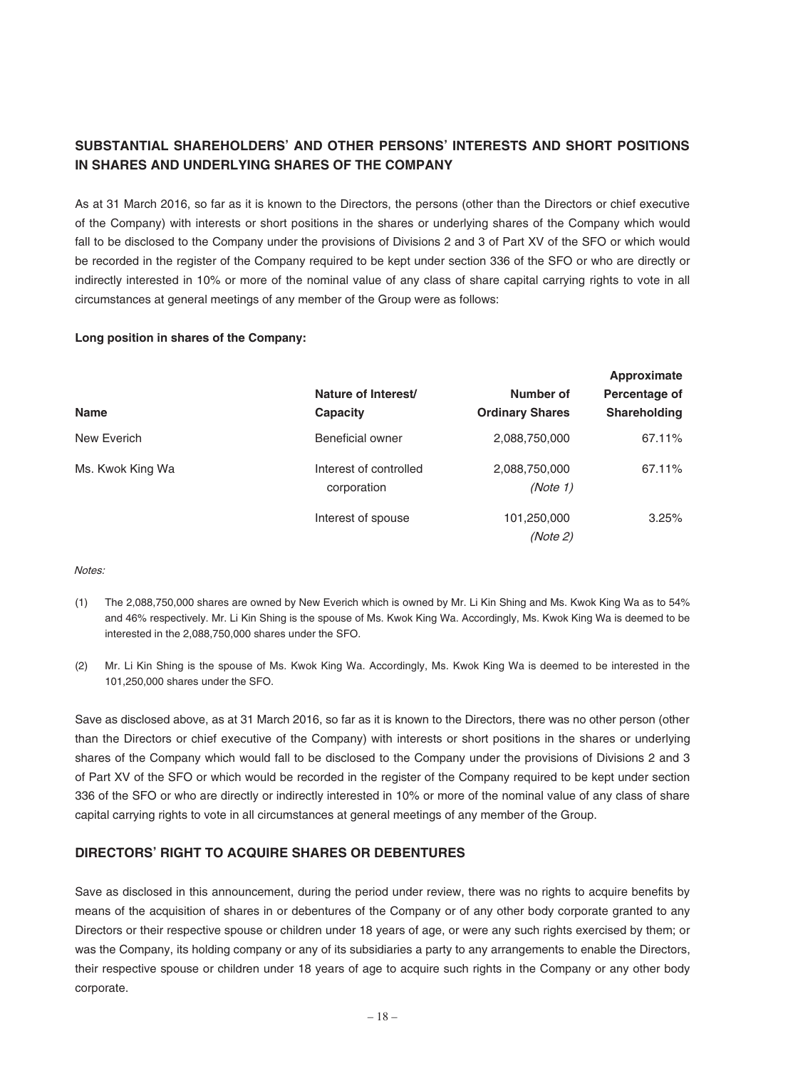## **SUBSTANTIAL SHAREHOLDERS' AND OTHER PERSONS' INTERESTS AND SHORT POSITIONS IN SHARES AND UNDERLYING SHARES OF THE COMPANY**

As at 31 March 2016, so far as it is known to the Directors, the persons (other than the Directors or chief executive of the Company) with interests or short positions in the shares or underlying shares of the Company which would fall to be disclosed to the Company under the provisions of Divisions 2 and 3 of Part XV of the SFO or which would be recorded in the register of the Company required to be kept under section 336 of the SFO or who are directly or indirectly interested in 10% or more of the nominal value of any class of share capital carrying rights to vote in all circumstances at general meetings of any member of the Group were as follows:

#### **Long position in shares of the Company:**

|                  | Nature of Interest/                   | Number of                 | Approximate<br>Percentage of |
|------------------|---------------------------------------|---------------------------|------------------------------|
| <b>Name</b>      | Capacity                              | <b>Ordinary Shares</b>    | <b>Shareholding</b>          |
| New Everich      | Beneficial owner                      | 2,088,750,000             | 67.11%                       |
| Ms. Kwok King Wa | Interest of controlled<br>corporation | 2,088,750,000<br>(Note 1) | 67.11%                       |
|                  | Interest of spouse                    | 101,250,000<br>(Note 2)   | 3.25%                        |

Notes:

- (1) The 2,088,750,000 shares are owned by New Everich which is owned by Mr. Li Kin Shing and Ms. Kwok King Wa as to 54% and 46% respectively. Mr. Li Kin Shing is the spouse of Ms. Kwok King Wa. Accordingly, Ms. Kwok King Wa is deemed to be interested in the 2,088,750,000 shares under the SFO.
- (2) Mr. Li Kin Shing is the spouse of Ms. Kwok King Wa. Accordingly, Ms. Kwok King Wa is deemed to be interested in the 101,250,000 shares under the SFO.

Save as disclosed above, as at 31 March 2016, so far as it is known to the Directors, there was no other person (other than the Directors or chief executive of the Company) with interests or short positions in the shares or underlying shares of the Company which would fall to be disclosed to the Company under the provisions of Divisions 2 and 3 of Part XV of the SFO or which would be recorded in the register of the Company required to be kept under section 336 of the SFO or who are directly or indirectly interested in 10% or more of the nominal value of any class of share capital carrying rights to vote in all circumstances at general meetings of any member of the Group.

## **DIRECTORS' RIGHT TO ACQUIRE SHARES OR DEBENTURES**

Save as disclosed in this announcement, during the period under review, there was no rights to acquire benefits by means of the acquisition of shares in or debentures of the Company or of any other body corporate granted to any Directors or their respective spouse or children under 18 years of age, or were any such rights exercised by them; or was the Company, its holding company or any of its subsidiaries a party to any arrangements to enable the Directors, their respective spouse or children under 18 years of age to acquire such rights in the Company or any other body corporate.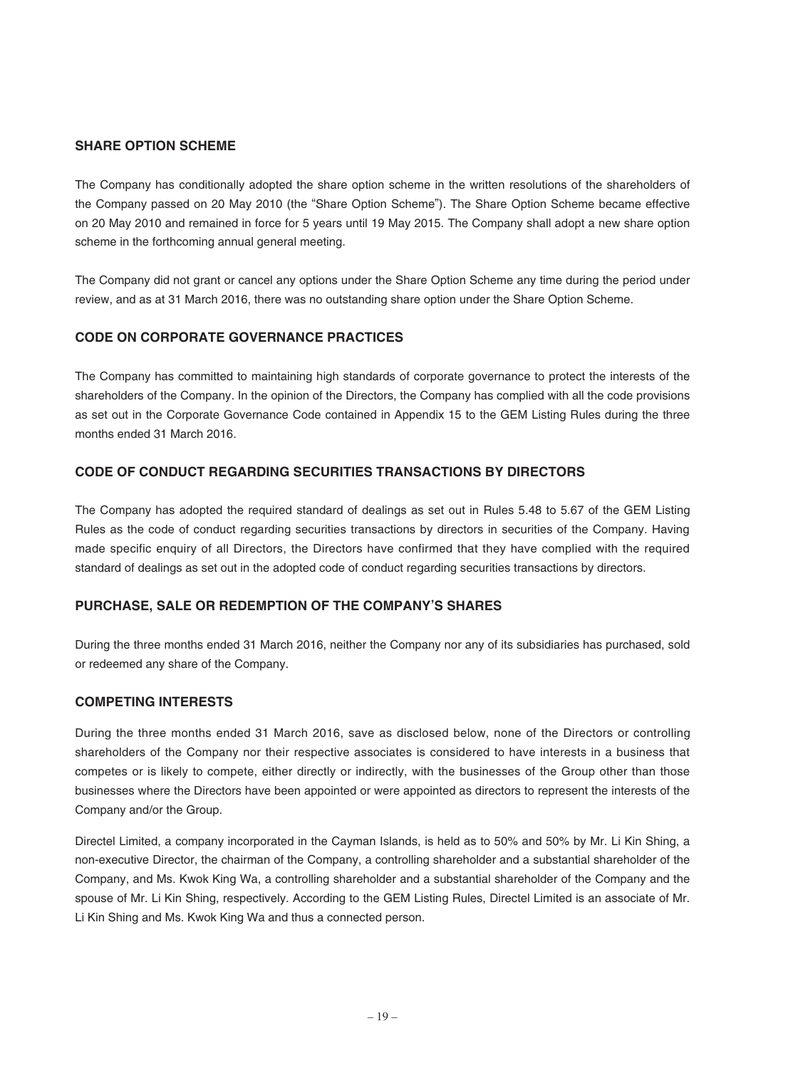## **SHARE OPTION SCHEME**

The Company has conditionally adopted the share option scheme in the written resolutions of the shareholders of the Company passed on 20 May 2010 (the "Share Option Scheme"). The Share Option Scheme became effective on 20 May 2010 and remained in force for 5 years until 19 May 2015. The Company shall adopt a new share option scheme in the forthcoming annual general meeting.

The Company did not grant or cancel any options under the Share Option Scheme any time during the period under review, and as at 31 March 2016, there was no outstanding share option under the Share Option Scheme.

## **CODE ON CORPORATE GOVERNANCE PRACTICES**

The Company has committed to maintaining high standards of corporate governance to protect the interests of the shareholders of the Company. In the opinion of the Directors, the Company has complied with all the code provisions as set out in the Corporate Governance Code contained in Appendix 15 to the GEM Listing Rules during the three months ended 31 March 2016.

## **CODE OF CONDUCT REGARDING SECURITIES TRANSACTIONS BY DIRECTORS**

The Company has adopted the required standard of dealings as set out in Rules 5.48 to 5.67 of the GEM Listing Rules as the code of conduct regarding securities transactions by directors in securities of the Company. Having made specific enquiry of all Directors, the Directors have confirmed that they have complied with the required standard of dealings as set out in the adopted code of conduct regarding securities transactions by directors.

## **PURCHASE, SALE OR REDEMPTION OF THE COMPANY'S SHARES**

During the three months ended 31 March 2016, neither the Company nor any of its subsidiaries has purchased, sold or redeemed any share of the Company.

## **COMPETING INTERESTS**

During the three months ended 31 March 2016, save as disclosed below, none of the Directors or controlling shareholders of the Company nor their respective associates is considered to have interests in a business that competes or is likely to compete, either directly or indirectly, with the businesses of the Group other than those businesses where the Directors have been appointed or were appointed as directors to represent the interests of the Company and/or the Group.

Directel Limited, a company incorporated in the Cayman Islands, is held as to 50% and 50% by Mr. Li Kin Shing, a non-executive Director, the chairman of the Company, a controlling shareholder and a substantial shareholder of the Company, and Ms. Kwok King Wa, a controlling shareholder and a substantial shareholder of the Company and the spouse of Mr. Li Kin Shing, respectively. According to the GEM Listing Rules, Directel Limited is an associate of Mr. Li Kin Shing and Ms. Kwok King Wa and thus a connected person.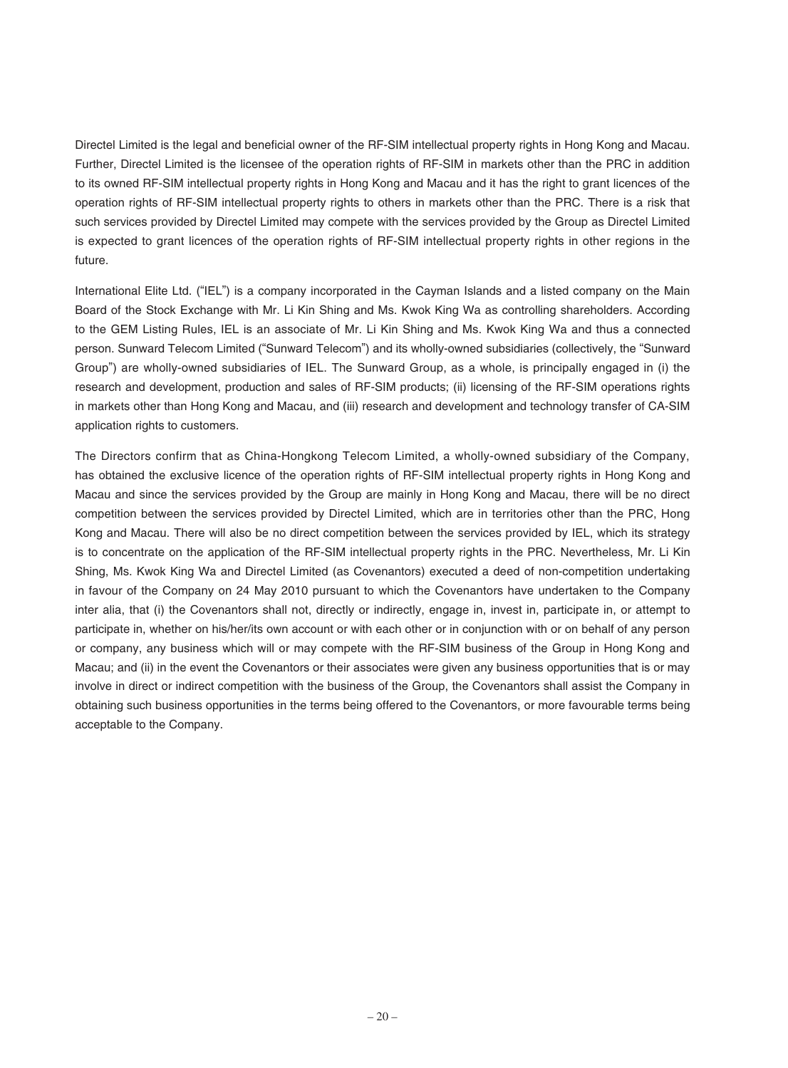Directel Limited is the legal and beneficial owner of the RF-SIM intellectual property rights in Hong Kong and Macau. Further, Directel Limited is the licensee of the operation rights of RF-SIM in markets other than the PRC in addition to its owned RF-SIM intellectual property rights in Hong Kong and Macau and it has the right to grant licences of the operation rights of RF-SIM intellectual property rights to others in markets other than the PRC. There is a risk that such services provided by Directel Limited may compete with the services provided by the Group as Directel Limited is expected to grant licences of the operation rights of RF-SIM intellectual property rights in other regions in the future.

International Elite Ltd. ("IEL") is a company incorporated in the Cayman Islands and a listed company on the Main Board of the Stock Exchange with Mr. Li Kin Shing and Ms. Kwok King Wa as controlling shareholders. According to the GEM Listing Rules, IEL is an associate of Mr. Li Kin Shing and Ms. Kwok King Wa and thus a connected person. Sunward Telecom Limited ("Sunward Telecom") and its wholly-owned subsidiaries (collectively, the "Sunward Group") are wholly-owned subsidiaries of IEL. The Sunward Group, as a whole, is principally engaged in (i) the research and development, production and sales of RF-SIM products; (ii) licensing of the RF-SIM operations rights in markets other than Hong Kong and Macau, and (iii) research and development and technology transfer of CA-SIM application rights to customers.

The Directors confirm that as China-Hongkong Telecom Limited, a wholly-owned subsidiary of the Company, has obtained the exclusive licence of the operation rights of RF-SIM intellectual property rights in Hong Kong and Macau and since the services provided by the Group are mainly in Hong Kong and Macau, there will be no direct competition between the services provided by Directel Limited, which are in territories other than the PRC, Hong Kong and Macau. There will also be no direct competition between the services provided by IEL, which its strategy is to concentrate on the application of the RF-SIM intellectual property rights in the PRC. Nevertheless, Mr. Li Kin Shing, Ms. Kwok King Wa and Directel Limited (as Covenantors) executed a deed of non-competition undertaking in favour of the Company on 24 May 2010 pursuant to which the Covenantors have undertaken to the Company inter alia, that (i) the Covenantors shall not, directly or indirectly, engage in, invest in, participate in, or attempt to participate in, whether on his/her/its own account or with each other or in conjunction with or on behalf of any person or company, any business which will or may compete with the RF-SIM business of the Group in Hong Kong and Macau; and (ii) in the event the Covenantors or their associates were given any business opportunities that is or may involve in direct or indirect competition with the business of the Group, the Covenantors shall assist the Company in obtaining such business opportunities in the terms being offered to the Covenantors, or more favourable terms being acceptable to the Company.